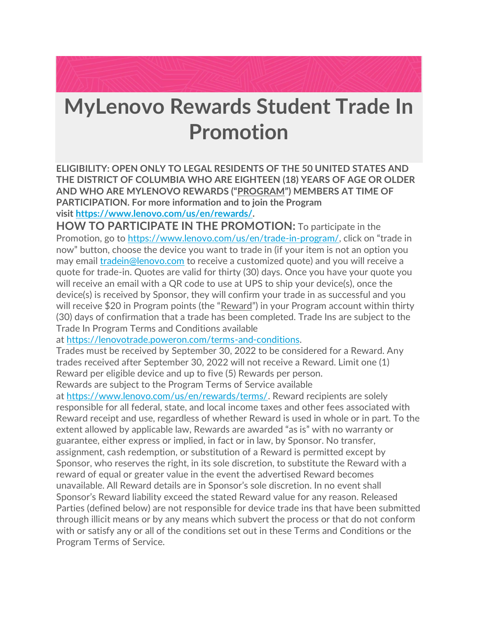

## **MyLenovo Rewards Student Trade In Promotion**

**ELIGIBILITY: OPEN ONLY TO LEGAL RESIDENTS OF THE 50 UNITED STATES AND THE DISTRICT OF COLUMBIA WHO ARE EIGHTEEN (18) YEARS OF AGE OR OLDER AND WHO ARE MYLENOVO REWARDS ("PROGRAM") MEMBERS AT TIME OF PARTICIPATION. For more information and to join the Program visit [https://www.lenovo.com/us/en/rewards/.](https://www.lenovo.com/us/en/rewards/)**

**HOW TO PARTICIPATE IN THE PROMOTION:** To participate in the Promotion, go to [https://www.lenovo.com/us/en/trade-in-program/](https://www.lenovo.com/us/en/trade-in-program), click on "trade in now" button, choose the device you want to trade in (if your item is not an option you may email [tradein@lenovo.com](mailto:tradein@lenovo.com) to receive a customized quote) and you will receive a quote for trade-in. Quotes are valid for thirty (30) days. Once you have your quote you will receive an email with a QR code to use at UPS to ship your device(s), once the device(s) is received by Sponsor, they will confirm your trade in as successful and you will receive \$20 in Program points (the "Reward") in your Program account within thirty (30) days of confirmation that a trade has been completed. Trade Ins are subject to the Trade In Program Terms and Conditions available

at [https://lenovotrade.poweron.com/terms-and-conditions.](https://lenovotrade.poweron.com/terms-and-conditions)

Trades must be received by September 30, 2022 to be considered for a Reward. Any trades received after September 30, 2022 will not receive a Reward. Limit one (1) Reward per eligible device and up to five (5) Rewards per person. Rewards are subject to the Program Terms of Service available

at [https://www.lenovo.com/us/en/rewards/terms/.](https://www.lenovo.com/us/en/rewards/terms/) Reward recipients are solely responsible for all federal, state, and local income taxes and other fees associated with Reward receipt and use, regardless of whether Reward is used in whole or in part. To the extent allowed by applicable law, Rewards are awarded "as is" with no warranty or guarantee, either express or implied, in fact or in law, by Sponsor. No transfer, assignment, cash redemption, or substitution of a Reward is permitted except by Sponsor, who reserves the right, in its sole discretion, to substitute the Reward with a reward of equal or greater value in the event the advertised Reward becomes unavailable. All Reward details are in Sponsor's sole discretion. In no event shall Sponsor's Reward liability exceed the stated Reward value for any reason. Released Parties (defined below) are not responsible for device trade ins that have been submitted through illicit means or by any means which subvert the process or that do not conform with or satisfy any or all of the conditions set out in these Terms and Conditions or the Program Terms of Service.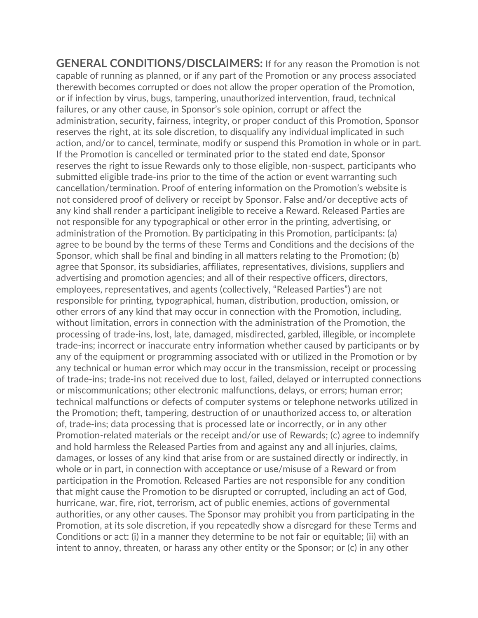**GENERAL CONDITIONS/DISCLAIMERS:** If for any reason the Promotion is not capable of running as planned, or if any part of the Promotion or any process associated therewith becomes corrupted or does not allow the proper operation of the Promotion, or if infection by virus, bugs, tampering, unauthorized intervention, fraud, technical failures, or any other cause, in Sponsor's sole opinion, corrupt or affect the administration, security, fairness, integrity, or proper conduct of this Promotion, Sponsor reserves the right, at its sole discretion, to disqualify any individual implicated in such action, and/or to cancel, terminate, modify or suspend this Promotion in whole or in part. If the Promotion is cancelled or terminated prior to the stated end date, Sponsor reserves the right to issue Rewards only to those eligible, non-suspect, participants who submitted eligible trade-ins prior to the time of the action or event warranting such cancellation/termination. Proof of entering information on the Promotion's website is not considered proof of delivery or receipt by Sponsor. False and/or deceptive acts of any kind shall render a participant ineligible to receive a Reward. Released Parties are not responsible for any typographical or other error in the printing, advertising, or administration of the Promotion. By participating in this Promotion, participants: (a) agree to be bound by the terms of these Terms and Conditions and the decisions of the Sponsor, which shall be final and binding in all matters relating to the Promotion; (b) agree that Sponsor, its subsidiaries, affiliates, representatives, divisions, suppliers and advertising and promotion agencies; and all of their respective officers, directors, employees, representatives, and agents (collectively, "Released Parties") are not responsible for printing, typographical, human, distribution, production, omission, or other errors of any kind that may occur in connection with the Promotion, including, without limitation, errors in connection with the administration of the Promotion, the processing of trade-ins, lost, late, damaged, misdirected, garbled, illegible, or incomplete trade-ins; incorrect or inaccurate entry information whether caused by participants or by any of the equipment or programming associated with or utilized in the Promotion or by any technical or human error which may occur in the transmission, receipt or processing of trade-ins; trade-ins not received due to lost, failed, delayed or interrupted connections or miscommunications; other electronic malfunctions, delays, or errors; human error; technical malfunctions or defects of computer systems or telephone networks utilized in the Promotion; theft, tampering, destruction of or unauthorized access to, or alteration of, trade-ins; data processing that is processed late or incorrectly, or in any other Promotion-related materials or the receipt and/or use of Rewards; (c) agree to indemnify and hold harmless the Released Parties from and against any and all injuries, claims, damages, or losses of any kind that arise from or are sustained directly or indirectly, in whole or in part, in connection with acceptance or use/misuse of a Reward or from participation in the Promotion. Released Parties are not responsible for any condition that might cause the Promotion to be disrupted or corrupted, including an act of God, hurricane, war, fire, riot, terrorism, act of public enemies, actions of governmental authorities, or any other causes. The Sponsor may prohibit you from participating in the Promotion, at its sole discretion, if you repeatedly show a disregard for these Terms and Conditions or act: (i) in a manner they determine to be not fair or equitable; (ii) with an intent to annoy, threaten, or harass any other entity or the Sponsor; or (c) in any other